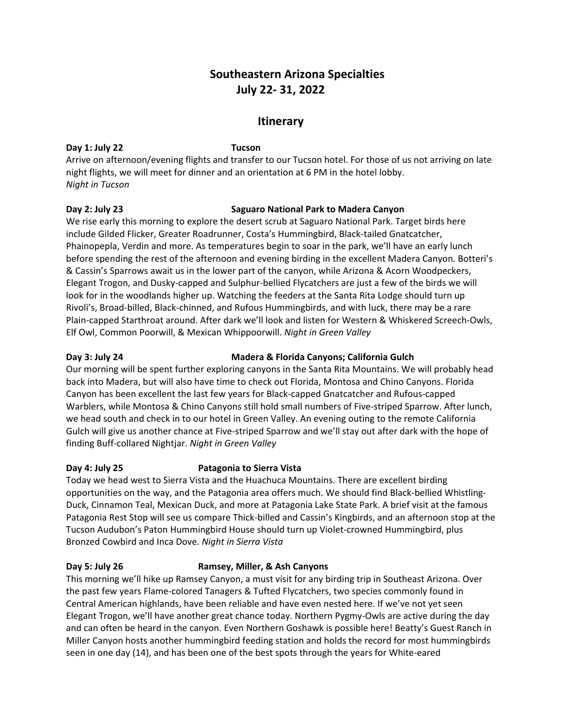# **Southeastern Arizona Specialties July 22- 31, 2022**

## **Itinerary**

#### **Day 1: July 22 Tucson**

Arrive on afternoon/evening flights and transfer to our Tucson hotel. For those of us not arriving on late night flights, we will meet for dinner and an orientation at 6 PM in the hotel lobby. *Night in Tucson*

### **Day 2: July 23 Saguaro National Park to Madera Canyon**

We rise early this morning to explore the desert scrub at Saguaro National Park. Target birds here include Gilded Flicker, Greater Roadrunner, Costa's Hummingbird, Black-tailed Gnatcatcher, Phainopepla, Verdin and more. As temperatures begin to soar in the park, we'll have an early lunch before spending the rest of the afternoon and evening birding in the excellent Madera Canyon. Botteri's & Cassin's Sparrows await us in the lower part of the canyon, while Arizona & Acorn Woodpeckers, Elegant Trogon, and Dusky-capped and Sulphur-bellied Flycatchers are just a few of the birds we will look for in the woodlands higher up. Watching the feeders at the Santa Rita Lodge should turn up Rivoli's, Broad-billed, Black-chinned, and Rufous Hummingbirds, and with luck, there may be a rare Plain-capped Starthroat around. After dark we'll look and listen for Western & Whiskered Screech-Owls, Elf Owl, Common Poorwill, & Mexican Whippoorwill. *Night in Green Valley*

### **Day 3: July 24 Madera & Florida Canyons; California Gulch**

Our morning will be spent further exploring canyons in the Santa Rita Mountains. We will probably head back into Madera, but will also have time to check out Florida, Montosa and Chino Canyons. Florida Canyon has been excellent the last few years for Black-capped Gnatcatcher and Rufous-capped Warblers, while Montosa & Chino Canyons still hold small numbers of Five-striped Sparrow. After lunch, we head south and check in to our hotel in Green Valley. An evening outing to the remote California Gulch will give us another chance at Five-striped Sparrow and we'll stay out after dark with the hope of finding Buff-collared Nightjar. *Night in Green Valley*

### **Day 4: July 25 Patagonia to Sierra Vista**

Today we head west to Sierra Vista and the Huachuca Mountains. There are excellent birding opportunities on the way, and the Patagonia area offers much. We should find Black-bellied Whistling-Duck, Cinnamon Teal, Mexican Duck, and more at Patagonia Lake State Park. A brief visit at the famous Patagonia Rest Stop will see us compare Thick-billed and Cassin's Kingbirds, and an afternoon stop at the Tucson Audubon's Paton Hummingbird House should turn up Violet-crowned Hummingbird, plus Bronzed Cowbird and Inca Dove. *Night in Sierra Vista*

### **Day 5: July 26 Ramsey, Miller, & Ash Canyons**

This morning we'll hike up Ramsey Canyon, a must visit for any birding trip in Southeast Arizona. Over the past few years Flame-colored Tanagers & Tufted Flycatchers, two species commonly found in Central American highlands, have been reliable and have even nested here. If we've not yet seen Elegant Trogon, we'll have another great chance today. Northern Pygmy-Owls are active during the day and can often be heard in the canyon. Even Northern Goshawk is possible here! Beatty's Guest Ranch in Miller Canyon hosts another hummingbird feeding station and holds the record for most hummingbirds seen in one day (14), and has been one of the best spots through the years for White-eared